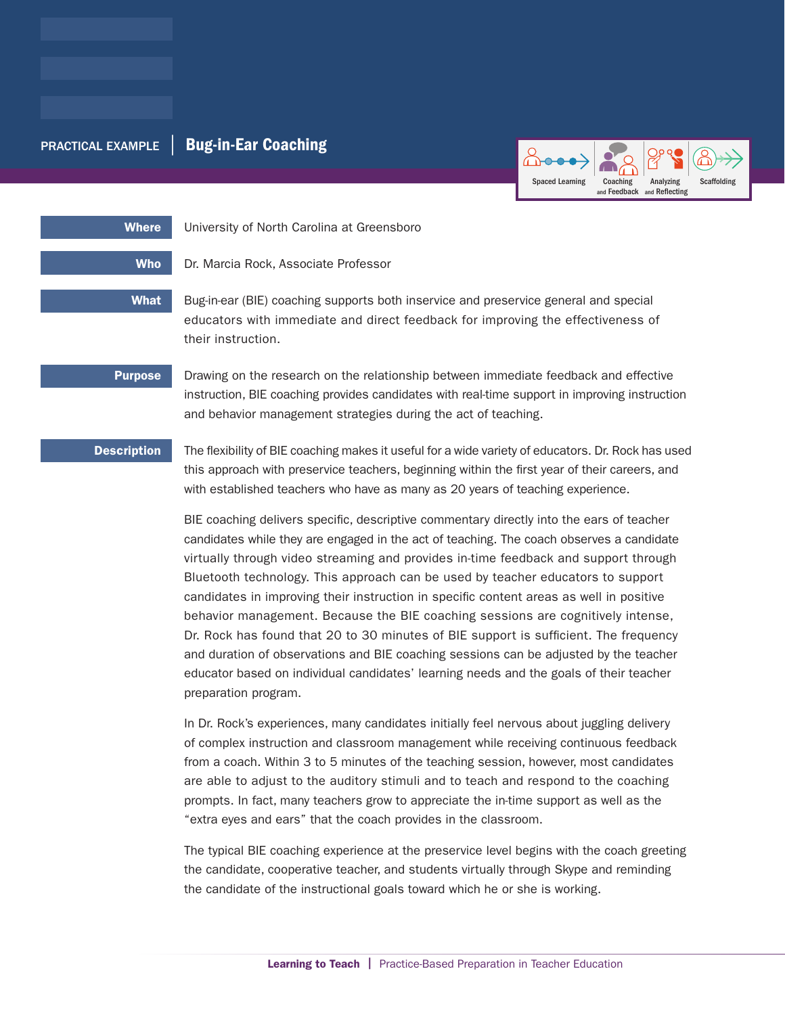# PRACTICAL EXAMPLE | Bug-in-Ear Coaching



Where University of North Carolina at Greensboro

Who Dr. Marcia Rock, Associate Professor

What Bug-in-ear (BIE) coaching supports both inservice and preservice general and special educators with immediate and direct feedback for improving the effectiveness of their instruction.

**Purpose** Drawing on the research on the relationship between immediate feedback and effective instruction, BIE coaching provides candidates with real-time support in improving instruction and behavior management strategies during the act of teaching.

Description The flexibility of BIE coaching makes it useful for a wide variety of educators. Dr. Rock has used this approach with preservice teachers, beginning within the first year of their careers, and with established teachers who have as many as 20 years of teaching experience.

> BIE coaching delivers specific, descriptive commentary directly into the ears of teacher candidates while they are engaged in the act of teaching. The coach observes a candidate virtually through video streaming and provides in-time feedback and support through Bluetooth technology. This approach can be used by teacher educators to support candidates in improving their instruction in specific content areas as well in positive behavior management. Because the BIE coaching sessions are cognitively intense, Dr. Rock has found that 20 to 30 minutes of BIE support is sufficient. The frequency and duration of observations and BIE coaching sessions can be adjusted by the teacher educator based on individual candidates' learning needs and the goals of their teacher preparation program.

> In Dr. Rock's experiences, many candidates initially feel nervous about juggling delivery of complex instruction and classroom management while receiving continuous feedback from a coach. Within 3 to 5 minutes of the teaching session, however, most candidates are able to adjust to the auditory stimuli and to teach and respond to the coaching prompts. In fact, many teachers grow to appreciate the in-time support as well as the "extra eyes and ears" that the coach provides in the classroom.

The typical BIE coaching experience at the preservice level begins with the coach greeting the candidate, cooperative teacher, and students virtually through Skype and reminding the candidate of the instructional goals toward which he or she is working.